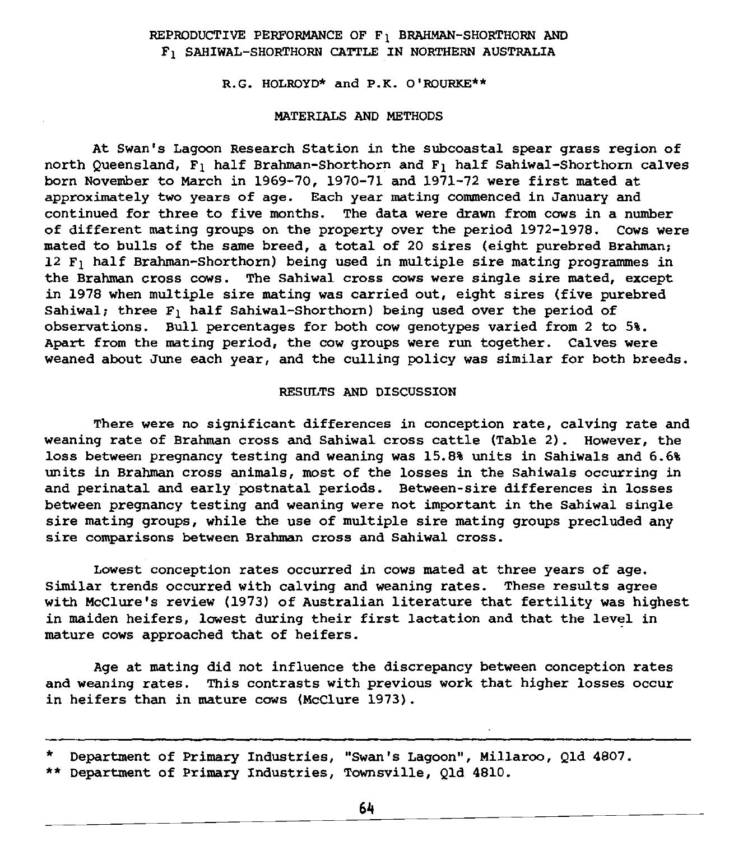## REPRODUCTIVE PERFORMANCE OF F1 BRAHMAN-SHORTHORN AND F1 SAHIWAL-SHORTHORN CATTLE IN NORTHERN AUSTRALIA

R.G. HOLROYD<sup>\*</sup> and P.K. O'ROURKE<sup>\*\*</sup>

## MATERIALS AND METHODS

At Swan's Lagoon Research Station in the subcoastal spear grass region of north Queensland, F1 half Brahman-Shorthorn and F1 half Sahiwal-Shorthorn calves born November to March in 1969-70, 1970-71 and 1971-72 were first mated at approximately two years of age. Each year mating commenced in January and continued for three to five months. The data were drawn from cows in a number of different mating groups on the property over the period 1972-1978. Cows were mated to bulls of the same breed, a total of 20 sires (eight purebred Brahman; 12 F1 half Brahman-Shorthorn) being used in multiple sire mating programmes in the Brahman cross cows. The Sahiwal cross cows were single sire mated, except in 1978 when multiple sire mating was carried out, eight sires (five purebred Sahiwal: three  $F_1$  half Sahiwal-Shorthorn) being used over the period of observations. Bull percentages for both cow genotypes varied from 2 to 5%. Apart from the mating period, the cow groups were run together. Calves were weaned about June each year, and the culling policy was similar for both breeds.

## RESULTS AND DISCUSSION

There were no significant differences in conception rate, calving rate and weaning rate of Brahman cross and Sahiwal cross cattle (Table 2). However, the loss between pregnancy testing and weaning was 15.8% units in Sahiwals and 6.6% units in Brahman cross animals, most of the losses in the Sahiwals occurring in and perinatal and early postnatal periods. Between-sire differences in losses between pregnancy testing and weaning were not important in the Sahiwal single sire mating groups, while the use of multiple sire mating groups precluded any sire comparisons between Brahman cross and Sahiwal cross.

Lowest conception rates occurred in cows mated at three years of age. Similar trends occurred with calving and weaning rates. These results agree with McClure's review (1973) of Australian literature that fertility was highest in maiden heifers, lowest during their first lactation and that the level in mature cows approached that of heifers.

Age at mating did not influence the discrepancy between conception rates and weaning rates. This contrasts with previous work that higher losses occur in heifers than in mature cows (McClure 1973).

<sup>\*</sup> Department of Primary Industries, "Swan's Lagoon", Millaroo, Qld 4807. \*\* Department of Primary Industries, Townsville, Qld 4810.